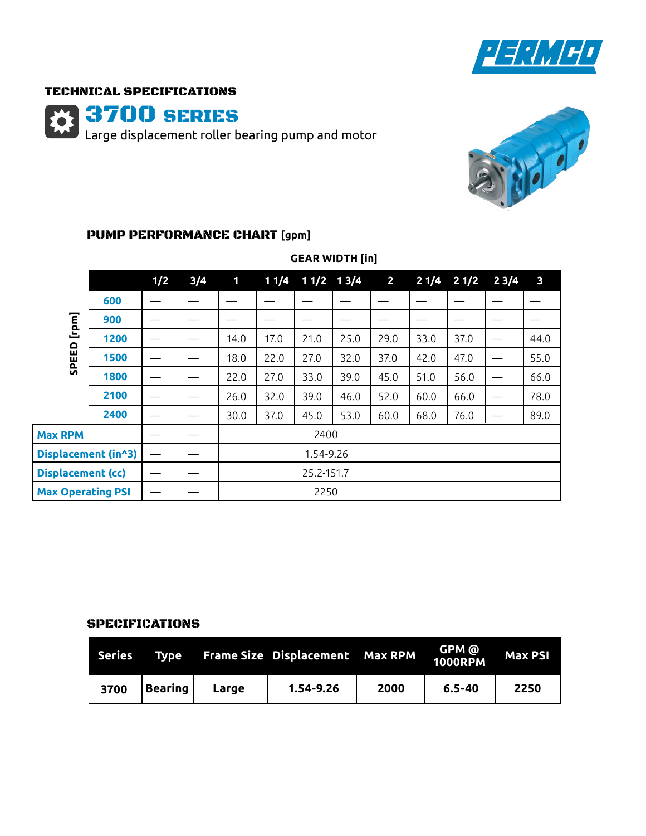

### TECHNICAL SPECIFICATIONS

3700 SERIES

Large displacement roller bearing pump and motor



### PUMP PERFORMANCE CHART **[gpm]**

|                          |      | 1/2 | 3/4 | $\mathbf{1}$ |      | $11/4$ $11/2$ $13/4$ |      | $\mathbf{2}$ | 21/4 | 21/2 | 23/4                     | $\mathbf{3}$ |  |  |
|--------------------------|------|-----|-----|--------------|------|----------------------|------|--------------|------|------|--------------------------|--------------|--|--|
| [rpm]<br>SPEED           | 600  |     |     |              |      |                      |      |              |      |      |                          |              |  |  |
|                          | 900  |     |     |              |      |                      |      |              |      |      |                          |              |  |  |
|                          | 1200 |     |     | 14.0         | 17.0 | 21.0                 | 25.0 | 29.0         | 33.0 | 37.0 |                          | 44.0         |  |  |
|                          | 1500 |     |     | 18.0         | 22.0 | 27.0                 | 32.0 | 37.0         | 42.0 | 47.0 |                          | 55.0         |  |  |
|                          | 1800 |     |     | 22.0         | 27.0 | 33.0                 | 39.0 | 45.0         | 51.0 | 56.0 | $\overline{\phantom{0}}$ | 66.0         |  |  |
|                          | 2100 |     |     | 26.0         | 32.0 | 39.0                 | 46.0 | 52.0         | 60.0 | 66.0 |                          | 78.0         |  |  |
|                          | 2400 |     |     | 30.0         | 37.0 | 45.0                 | 53.0 | 60.0         | 68.0 | 76.0 |                          | 89.0         |  |  |
| <b>Max RPM</b>           |      |     |     | 2400         |      |                      |      |              |      |      |                          |              |  |  |
| Displacement (in^3)      |      |     |     | 1.54-9.26    |      |                      |      |              |      |      |                          |              |  |  |
| <b>Displacement (cc)</b> |      |     |     | 25.2-151.7   |      |                      |      |              |      |      |                          |              |  |  |
| <b>Max Operating PSI</b> |      |     |     | 2250         |      |                      |      |              |      |      |                          |              |  |  |

## **GEAR WIDTH [in]**

#### SPECIFICATIONS

| Series T | Tvpe           |       | Frame Size Displacement Max RPM |      | GPM @<br>1000RPM | <b>Max PSI</b> |
|----------|----------------|-------|---------------------------------|------|------------------|----------------|
| 3700     | <b>Bearing</b> | Large | $1.54 - 9.26$                   | 2000 | $6.5 - 40$       | 2250           |